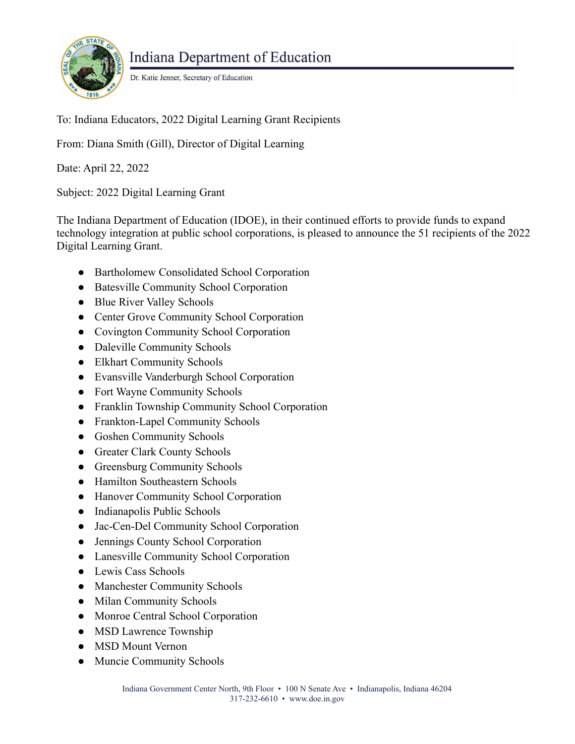

Indiana Department of Education

Dr. Katie Jenner, Secretary of Education

To: Indiana Educators, 2022 Digital Learning Grant Recipients

From: Diana Smith (Gill), Director of Digital Learning

Date: April 22, 2022

Subject: 2022 Digital Learning Grant

The Indiana Department of Education (IDOE), in their continued efforts to provide funds to expand technology integration at public school corporations, is pleased to announce the 51 recipients of the 2022 Digital Learning Grant.

- Bartholomew Consolidated School Corporation
- Batesville Community School Corporation
- Blue River Valley Schools
- Center Grove Community School Corporation
- Covington Community School Corporation
- Daleville Community Schools
- Elkhart Community Schools
- Evansville Vanderburgh School Corporation
- Fort Wayne Community Schools
- Franklin Township Community School Corporation
- Frankton-Lapel Community Schools
- Goshen Community Schools
- Greater Clark County Schools
- Greensburg Community Schools
- Hamilton Southeastern Schools
- Hanover Community School Corporation
- Indianapolis Public Schools
- Jac-Cen-Del Community School Corporation
- Jennings County School Corporation
- Lanesville Community School Corporation
- Lewis Cass Schools
- Manchester Community Schools
- Milan Community Schools
- Monroe Central School Corporation
- MSD Lawrence Township
- MSD Mount Vernon
- Muncie Community Schools